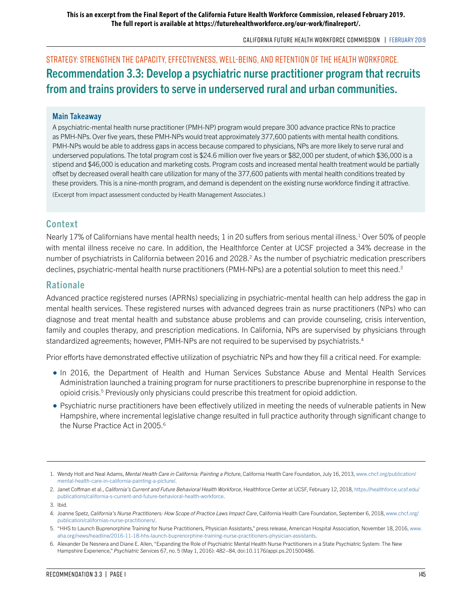Strategy: Strengthen the capacity, effectiveness, well-being, and retention of the health workforce. Recommendation 3.3: Develop a psychiatric nurse practitioner program that recruits from and trains providers to serve in underserved rural and urban communities.

#### Main Takeaway

A psychiatric-mental health nurse practitioner (PMH-NP) program would prepare 300 advance practice RNs to practice as PMH-NPs. Over five years, these PMH-NPs would treat approximately 377,600 patients with mental health conditions. PMH-NPs would be able to address gaps in access because compared to physicians, NPs are more likely to serve rural and underserved populations. The total program cost is \$24.6 million over five years or \$82,000 per student, of which \$36,000 is a stipend and \$46,000 is education and marketing costs. Program costs and increased mental health treatment would be partially offset by decreased overall health care utilization for many of the 377,600 patients with mental health conditions treated by these providers. This is a nine-month program, and demand is dependent on the existing nurse workforce finding it attractive.

(Excerpt from impact assessment conducted by Health Management Associates.)

### Context

Nearly 17% of Californians have mental health needs; 1 in 20 suffers from serious mental illness.<sup>1</sup> Over 50% of people with mental illness receive no care. In addition, the Healthforce Center at UCSF projected a 34% decrease in the number of psychiatrists in California between 2016 and 2028.<sup>2</sup> As the number of psychiatric medication prescribers declines, psychiatric-mental health nurse practitioners (PMH-NPs) are a potential solution to meet this need.<sup>3</sup>

### Rationale

Advanced practice registered nurses (APRNs) specializing in psychiatric-mental health can help address the gap in mental health services. These registered nurses with advanced degrees train as nurse practitioners (NPs) who can diagnose and treat mental health and substance abuse problems and can provide counseling, crisis intervention, family and couples therapy, and prescription medications. In California, NPs are supervised by physicians through standardized agreements; however, PMH-NPs are not required to be supervised by psychiatrists.4

Prior efforts have demonstrated effective utilization of psychiatric NPs and how they fill a critical need. For example:

- In 2016, the Department of Health and Human Services Substance Abuse and Mental Health Services Administration launched a training program for nurse practitioners to prescribe buprenorphine in response to the opioid crisis.<sup>5</sup> Previously only physicians could prescribe this treatment for opioid addiction.
- Psychiatric nurse practitioners have been effectively utilized in meeting the needs of vulnerable patients in New Hampshire, where incremental legislative change resulted in full practice authority through significant change to the Nurse Practice Act in 2005.<sup>6</sup>

<sup>1.</sup> Wendy Holt and Neal Adams, *Mental Health Care in California: Painting a Picture*, California Health Care Foundation, July 16, 2013, [www.chcf.org/publication/](http://www.chcf.org/publication/mental-health-care-in-california-painting-a-picture/) [mental-health-care-in-california-painting-a-picture/](http://www.chcf.org/publication/mental-health-care-in-california-painting-a-picture/).

<sup>2.</sup> Janet Coffman et al., *California's Current and Future Behavioral Health Workforce*, Healthforce Center at UCSF, February 12, 2018, [https://healthforce.ucsf.edu/](https://healthforce.ucsf.edu/publications/california-s-current-and-future-behavioral-health-workforce) [publications/california-s-current-and-future-behavioral-health-workforce](https://healthforce.ucsf.edu/publications/california-s-current-and-future-behavioral-health-workforce).

<sup>3.</sup> Ibid.

<sup>4.</sup> Joanne Spetz, *California's Nurse Practitioners: How Scope of Practice Laws Impact Care*, California Health Care Foundation, September 6, 2018, [www.chcf.org/](http://www.chcf.org/publication/californias-nurse-practitioners/) [publication/californias-nurse-practitioners/](http://www.chcf.org/publication/californias-nurse-practitioners/).

<sup>5.</sup> "HHS to Launch Buprenorphine Training for Nurse Practitioners, Physician Assistants," press release, American Hospital Association, November 18, 2016, [www.](http://www.aha.org/news/headline/2016-11-18-hhs-launch-buprenorphine-training-nurse-practitioners-physician-assistants) [aha.org/news/headline/2016-11-18-hhs-launch-buprenorphine-training-nurse-practitioners-physician-assistants.](http://www.aha.org/news/headline/2016-11-18-hhs-launch-buprenorphine-training-nurse-practitioners-physician-assistants)

<sup>6.</sup> Alexander De Nesnera and Diane E. Allen, "Expanding the Role of Psychiatric Mental Health Nurse Practitioners in a State Psychiatric System: The New Hampshire Experience," *Psychiatric Services* 67, no. 5 (May 1, 2016): 482–84, doi:10.1176/appi.ps.201500486.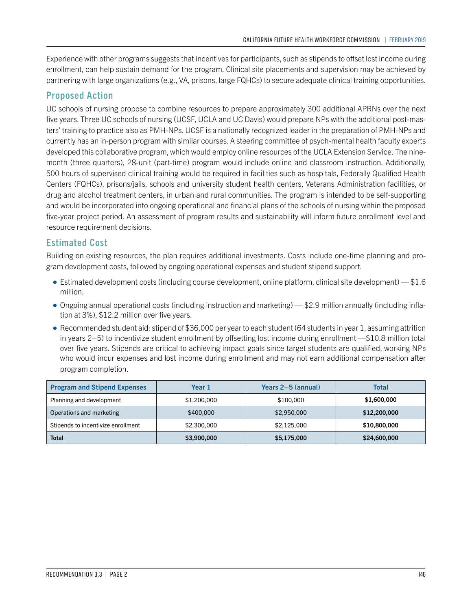Experience with other programs suggests that incentives for participants, such as stipends to offset lost income during enrollment, can help sustain demand for the program. Clinical site placements and supervision may be achieved by partnering with large organizations (e.g., VA, prisons, large FQHCs) to secure adequate clinical training opportunities.

# Proposed Action

UC schools of nursing propose to combine resources to prepare approximately 300 additional APRNs over the next five years. Three UC schools of nursing (UCSF, UCLA and UC Davis) would prepare NPs with the additional post-masters' training to practice also as PMH-NPs. UCSF is a nationally recognized leader in the preparation of PMH-NPs and currently has an in-person program with similar courses. A steering committee of psych-mental health faculty experts developed this collaborative program, which would employ online resources of the UCLA Extension Service. The ninemonth (three quarters), 28-unit (part-time) program would include online and classroom instruction. Additionally, 500 hours of supervised clinical training would be required in facilities such as hospitals, Federally Qualified Health Centers (FQHCs), prisons/jails, schools and university student health centers, Veterans Administration facilities, or drug and alcohol treatment centers, in urban and rural communities. The program is intended to be self-supporting and would be incorporated into ongoing operational and financial plans of the schools of nursing within the proposed five-year project period. An assessment of program results and sustainability will inform future enrollment level and resource requirement decisions.

# Estimated Cost

Building on existing resources, the plan requires additional investments. Costs include one-time planning and program development costs, followed by ongoing operational expenses and student stipend support.

- $\bullet$  Estimated development costs (including course development, online platform, clinical site development)  $-$  \$1.6 million.
- Ongoing annual operational costs (including instruction and marketing) \$2.9 million annually (including inflation at 3%), \$12.2 million over five years.
- Recommended student aid: stipend of \$36,000 per year to each student (64 students in year 1, assuming attrition in years 2–5) to incentivize student enrollment by offsetting lost income during enrollment —\$10.8 million total over five years. Stipends are critical to achieving impact goals since target students are qualified, working NPs who would incur expenses and lost income during enrollment and may not earn additional compensation after program completion.

| <b>Program and Stipend Expenses</b> | Year 1      | Years $2-5$ (annual) | Total        |
|-------------------------------------|-------------|----------------------|--------------|
| Planning and development            | \$1,200,000 | \$100,000            | \$1,600,000  |
| Operations and marketing            | \$400,000   | \$2,950,000          | \$12,200,000 |
| Stipends to incentivize enrollment  | \$2,300,000 | \$2.125.000          | \$10,800,000 |
| <b>Total</b>                        | \$3,900,000 | \$5,175,000          | \$24,600,000 |